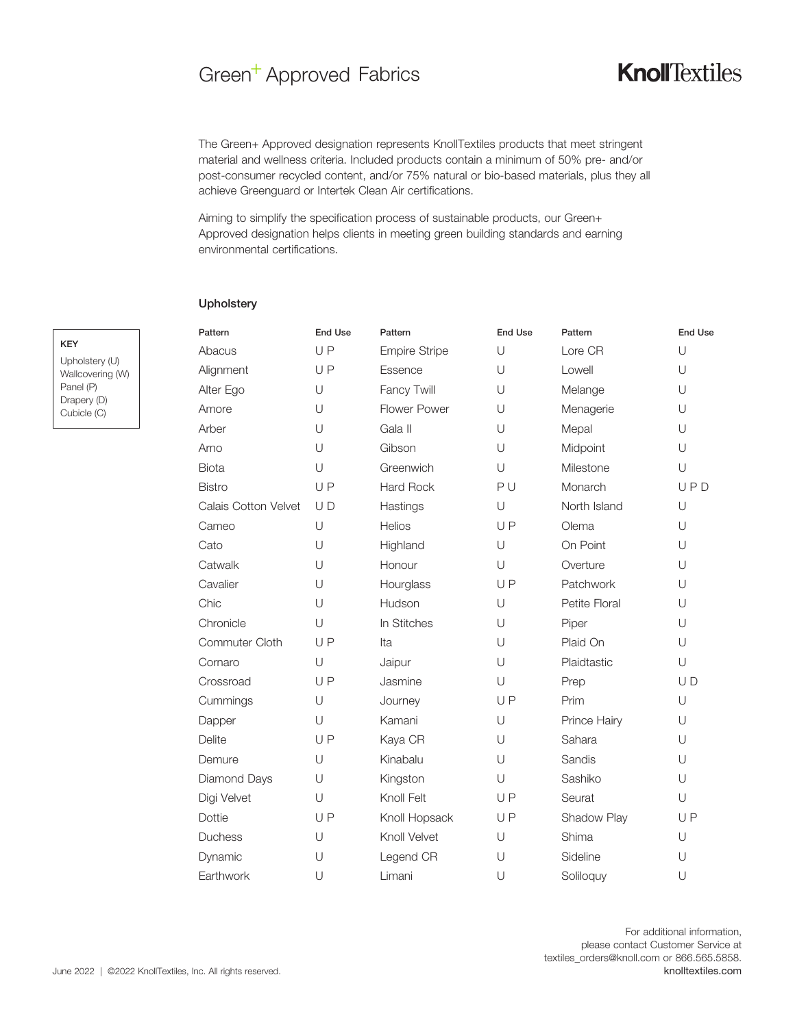### Green<sup>+</sup> Approved Fabrics

### **Knoll**Textiles

The Green+ Approved designation represents KnollTextiles products that meet stringent material and wellness criteria. Included products contain a minimum of 50% pre- and/or post-consumer recycled content, and/or 75% natural or bio-based materials, plus they all achieve Greenguard or Intertek Clean Air certifications.

Aiming to simplify the specification process of sustainable products, our Green+ Approved designation helps clients in meeting green building standards and earning environmental certifications.

#### **Upholstery**

| Pattern                     | <b>End Use</b> | Pattern              | <b>End Use</b> | Pattern       | <b>End Use</b> |
|-----------------------------|----------------|----------------------|----------------|---------------|----------------|
| Abacus                      | UP             | <b>Empire Stripe</b> | U              | Lore CR       | U              |
| Alignment                   | UP             | Essence              | U              | Lowell        | U              |
| Alter Ego                   | U              | Fancy Twill          | U              | Melange       | U              |
| Amore                       | $\cup$         | Flower Power         | U              | Menagerie     | U              |
| Arber                       | U              | Gala II              | U              | Mepal         | U              |
| Arno                        | $\cup$         | Gibson               | U              | Midpoint      | U              |
| <b>Biota</b>                | U              | Greenwich            | U              | Milestone     | U              |
| <b>Bistro</b>               | UP             | <b>Hard Rock</b>     | PU             | Monarch       | UPD            |
| <b>Calais Cotton Velvet</b> | UD             | Hastings             | $\cup$         | North Island  | U              |
| Cameo                       | $\cup$         | Helios               | UP             | Olema         | U              |
| Cato                        | U              | Highland             | U              | On Point      | U              |
| Catwalk                     | U              | Honour               | $\cup$         | Overture      | U              |
| Cavalier                    | U              | Hourglass            | UP             | Patchwork     | U              |
| Chic                        | $\cup$         | Hudson               | $\cup$         | Petite Floral | U              |
| Chronicle                   | $\cup$         | In Stitches          | U              | Piper         | U              |
| Commuter Cloth              | UP             | Ita                  | $\cup$         | Plaid On      | U              |
| Cornaro                     | U              | Jaipur               | U              | Plaidtastic   | U              |
| Crossroad                   | UP             | Jasmine              | $\cup$         | Prep          | UD             |
| Cummings                    | U              | Journey              | UP             | Prim          | U              |
| Dapper                      | $\cup$         | Kamani               | U              | Prince Hairy  | U              |
| <b>Delite</b>               | UP             | Kaya CR              | U              | Sahara        | U              |
| Demure                      | U              | Kinabalu             | U              | Sandis        | U              |
| Diamond Days                | U              | Kingston             | U              | Sashiko       | U              |
| Digi Velvet                 | $\cup$         | Knoll Felt           | UP             | Seurat        | U              |
| Dottie                      | UP             | Knoll Hopsack        | UP             | Shadow Play   | UP             |
| Duchess                     | $\cup$         | Knoll Velvet         | $\cup$         | Shima         | U              |
| Dynamic                     | U              | Legend CR            | U              | Sideline      | U              |
| Earthwork                   | U              | Limani               | U              | Soliloquy     | U              |

# KEY Panel (P)

| KEY              |  |
|------------------|--|
| Upholstery (U)   |  |
| Wallcovering (W) |  |
| Panel (P)        |  |
| Drapery (D)      |  |
| Cubicle (C)      |  |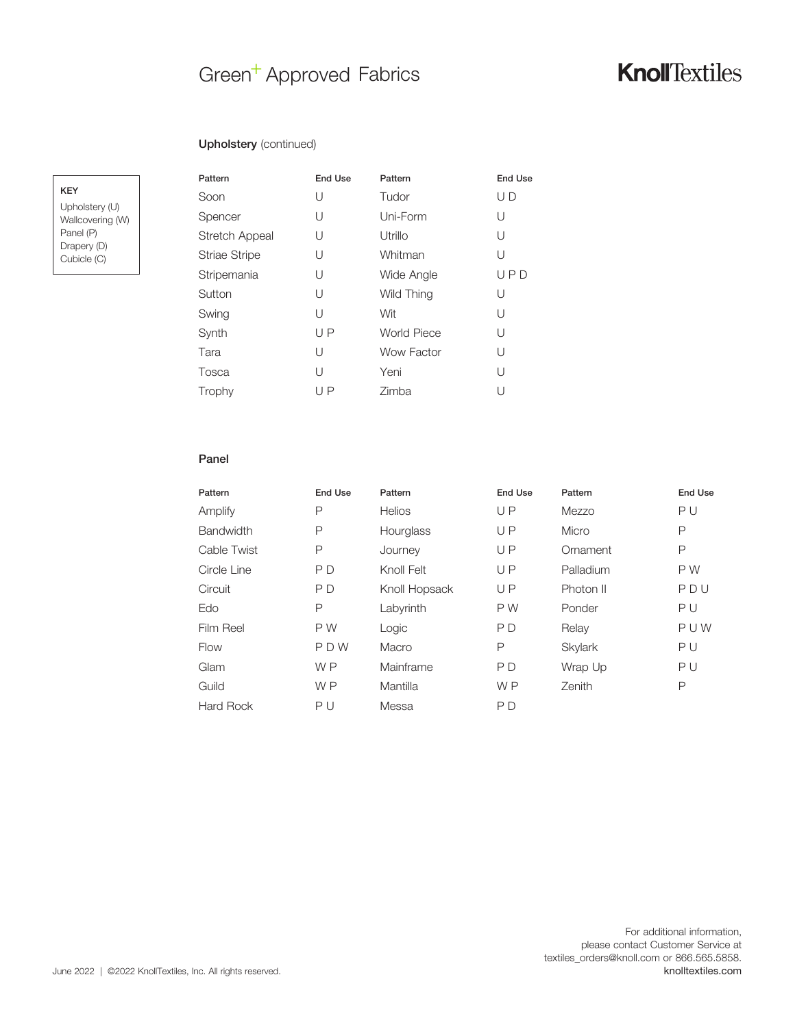### Green<sup>+</sup> Approved Fabrics

#### Upholstery (continued)

KEY

Upholstery (U) Wallcovering (W) Panel (P) Drapery (D) Cubicle (C)

| Pattern               | <b>End Use</b> | Pattern            | End Use |
|-----------------------|----------------|--------------------|---------|
| Soon                  | U              | Tudor              | U D     |
| Spencer               | U              | Uni-Form           | U       |
| <b>Stretch Appeal</b> | U              | Utrillo            | U       |
| Striae Stripe         | U              | Whitman            | U       |
| Stripemania           | U              | Wide Angle         | UPD     |
| Sutton                | U              | Wild Thing         | U       |
| Swing                 | U              | Wit                | U       |
| Synth                 | UP             | <b>World Piece</b> | U       |
| Tara                  | U              | Wow Factor         | U       |
| Tosca                 | U              | Yeni               | U       |
| Trophy                | UP             | Zimba              | U       |

#### Panel

| Pattern          | End Use        | Pattern       | <b>End Use</b> | Pattern   | End Use |
|------------------|----------------|---------------|----------------|-----------|---------|
| Amplify          | P              | <b>Helios</b> | UP             | Mezzo     | PU      |
| <b>Bandwidth</b> | Ρ              | Hourglass     | UP             | Micro     | P       |
| Cable Twist      | P              | Journey       | UP             | Ornament  | P       |
| Circle Line      | P D            | Knoll Felt    | UP             | Palladium | P W     |
| Circuit          | P D            | Knoll Hopsack | UP             | Photon II | PDU     |
| Edo              | P              | Labyrinth     | P W            | Ponder    | PU      |
| Film Reel        | P W            | Logic         | P <sub>D</sub> | Relay     | PUW     |
| Flow             | PDW            | Macro         | P              | Skylark   | PU      |
| Glam             | W <sub>P</sub> | Mainframe     | P <sub>D</sub> | Wrap Up   | PU      |
| Guild            | W <sub>P</sub> | Mantilla      | W <sub>P</sub> | Zenith    | P       |
| Hard Rock        | PU             | Messa         | P D            |           |         |